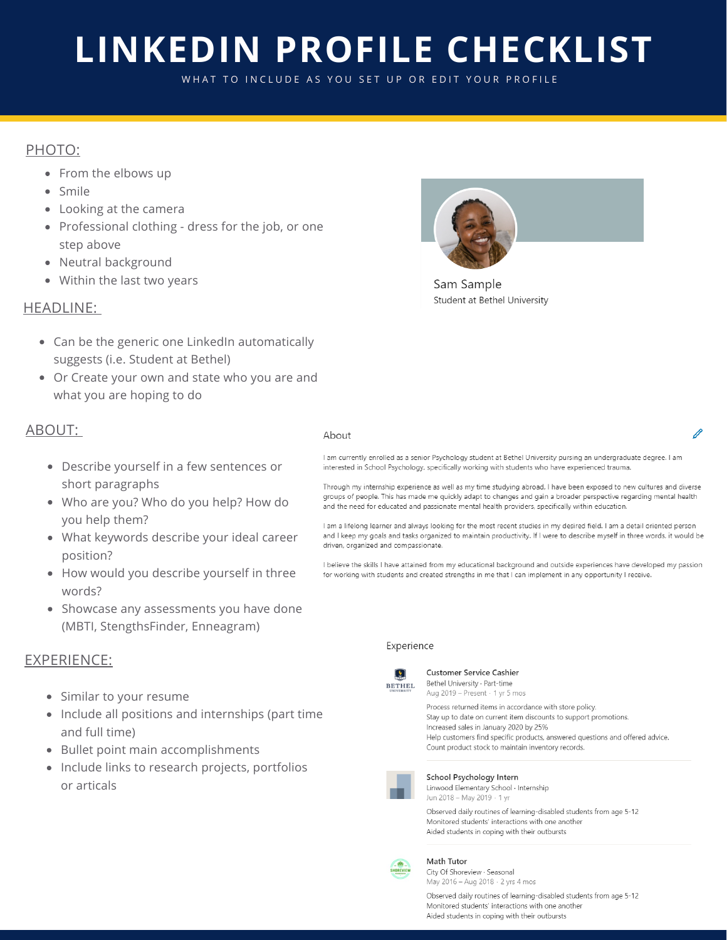# **LINKEDIN PROFILE CHECKLIST**

WHAT TO INCLUDE AS YOU SET UP OR EDIT YOUR PROFILE

# PHOTO:

- From the elbows up
- Smile
- Looking at the camera
- Professional clothing dress for the job, or one step above
- Neutral background
- Within the last two years

# Sam Sample

Student at Bethel University

# HEADLINE:

- Can be the generic one LinkedIn automatically suggests (i.e. Student at Bethel)
- Or Create your own and state who you are and what you are hoping to do

#### ABOUT:

# Ahout

Describe yourself in a few sentences or short paragraphs

- Who are you? Who do you help? How do you help them?
- What keywords describe your ideal career position?
- How would you describe yourself in three words?
- Showcase any assessments you have done (MBTI, StengthsFinder, Enneagram)

## EXPERIENCE:

- Similar to your resume
- Include all positions and internships (part time and full time)
- Bullet point main accomplishments
- Include links to research projects, portfolios or articals

#### I am currently enrolled as a senior Psychology student at Bethel University pursing an undergraduate degree. I am interested in School Psychology, specifically working with students who have experienced trauma.

Through my internship experience as well as my time studying abroad, I have been exposed to new cultures and diverse groups of people. This has made me quickly adapt to changes and gain a broader perspective regarding mental health and the need for educated and passionate mental health providers, specifically within education.

I am a lifelong learner and always looking for the most recent studies in my desired field. I am a detail oriented person and I keep my goals and tasks organized to maintain productivity. If I were to describe myself in three words, it would be driven, organized and compassionate.

I believe the skills I have attained from my educational background and outside experiences have developed my passion for working with students and created strengths in me that I can implement in any opportunity I receive.

#### Experience



**Customer Service Cashier** Bethel University · Part-time Aug 2019 - Present · 1 yr 5 mos

Process returned items in accordance with store policy. Stay up to date on current item discounts to support promotions. Increased sales in January 2020 by 25% Help customers find specific products, answered questions and offered advice. Count product stock to maintain inventory records.



School Psychology Intern Linwood Elementary School · Internship Jun 2018 - May 2019 · 1 yr

Observed daily routines of learning-disabled students from age 5-12 Monitored students' interactions with one another Aided students in coping with their outbursts



Math Tutor

City Of Shoreview · Seasonal May 2016 - Aug 2018 · 2 yrs 4 mos

Observed daily routines of learning-disabled students from age 5-12 Monitored students' interactions with one another Aided students in coping with their outbursts